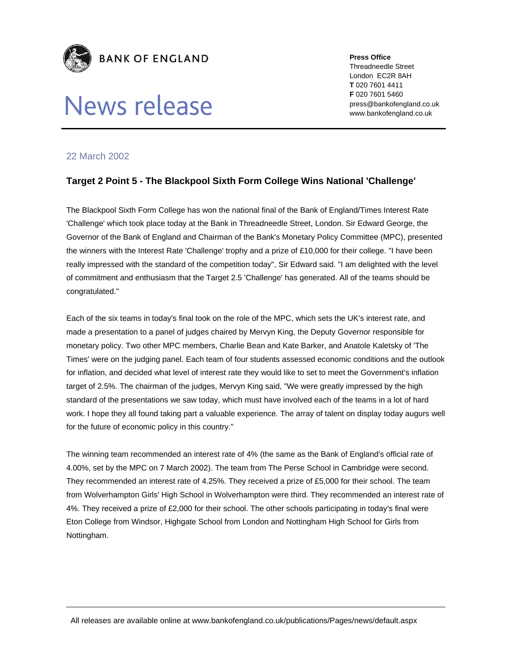

## News release

**Press Office**  Threadneedle Street London EC2R 8AH **T** 020 7601 4411 **F** 020 7601 5460 press@bankofengland.co.uk www.bankofengland.co.uk

## 22 March 2002

## **Target 2 Point 5 - The Blackpool Sixth Form College Wins National 'Challenge'**

The Blackpool Sixth Form College has won the national final of the Bank of England/Times Interest Rate 'Challenge' which took place today at the Bank in Threadneedle Street, London. Sir Edward George, the Governor of the Bank of England and Chairman of the Bank's Monetary Policy Committee (MPC), presented the winners with the Interest Rate 'Challenge' trophy and a prize of £10,000 for their college. "I have been really impressed with the standard of the competition today", Sir Edward said. "I am delighted with the level of commitment and enthusiasm that the Target 2.5 'Challenge' has generated. All of the teams should be congratulated."

Each of the six teams in today's final took on the role of the MPC, which sets the UK's interest rate, and made a presentation to a panel of judges chaired by Mervyn King, the Deputy Governor responsible for monetary policy. Two other MPC members, Charlie Bean and Kate Barker, and Anatole Kaletsky of 'The Times' were on the judging panel. Each team of four students assessed economic conditions and the outlook for inflation, and decided what level of interest rate they would like to set to meet the Government's inflation target of 2.5%. The chairman of the judges, Mervyn King said, "We were greatly impressed by the high standard of the presentations we saw today, which must have involved each of the teams in a lot of hard work. I hope they all found taking part a valuable experience. The array of talent on display today augurs well for the future of economic policy in this country."

The winning team recommended an interest rate of 4% (the same as the Bank of England's official rate of 4.00%, set by the MPC on 7 March 2002). The team from The Perse School in Cambridge were second. They recommended an interest rate of 4.25%. They received a prize of £5,000 for their school. The team from Wolverhampton Girls' High School in Wolverhampton were third. They recommended an interest rate of 4%. They received a prize of £2,000 for their school. The other schools participating in today's final were Eton College from Windsor, Highgate School from London and Nottingham High School for Girls from Nottingham.